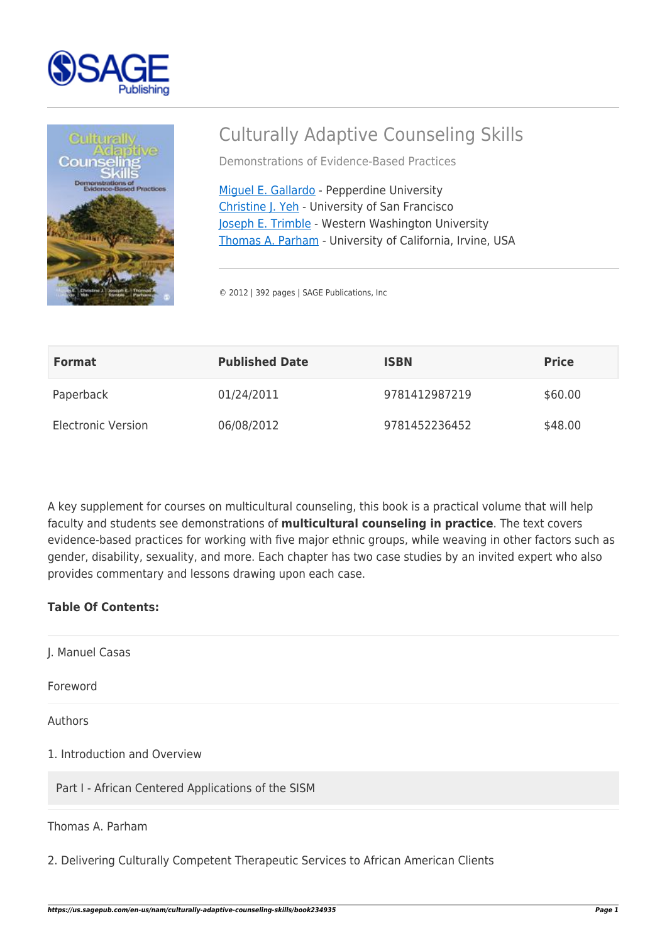



# Culturally Adaptive Counseling Skills

Demonstrations of Evidence-Based Practices

[Miguel E. Gallardo](https://us.sagepub.com/en-us/nam/author/miguel-e-gallardo) - Pepperdine University [Christine J. Yeh](https://us.sagepub.com/en-us/nam/author/christine-j-yeh) - University of San Francisco [Joseph E. Trimble](https://us.sagepub.com/en-us/nam/author/joseph-e-trimble) - Western Washington University [Thomas A. Parham](https://us.sagepub.com/en-us/nam/author/thomas-a-parham) - University of California, Irvine, USA

© 2012 | 392 pages | SAGE Publications, Inc

| <b>Format</b>             | <b>Published Date</b> | ISBN          | <b>Price</b> |
|---------------------------|-----------------------|---------------|--------------|
| Paperback                 | 01/24/2011            | 9781412987219 | \$60.00      |
| <b>Electronic Version</b> | 06/08/2012            | 9781452236452 | \$48.00      |

A key supplement for courses on multicultural counseling, this book is a practical volume that will help faculty and students see demonstrations of **multicultural counseling in practice**. The text covers evidence-based practices for working with five major ethnic groups, while weaving in other factors such as gender, disability, sexuality, and more. Each chapter has two case studies by an invited expert who also provides commentary and lessons drawing upon each case.

## **Table Of Contents:**

J. Manuel Casas

Foreword

Authors

1. Introduction and Overview

Part I - African Centered Applications of the SISM

Thomas A. Parham

2. Delivering Culturally Competent Therapeutic Services to African American Clients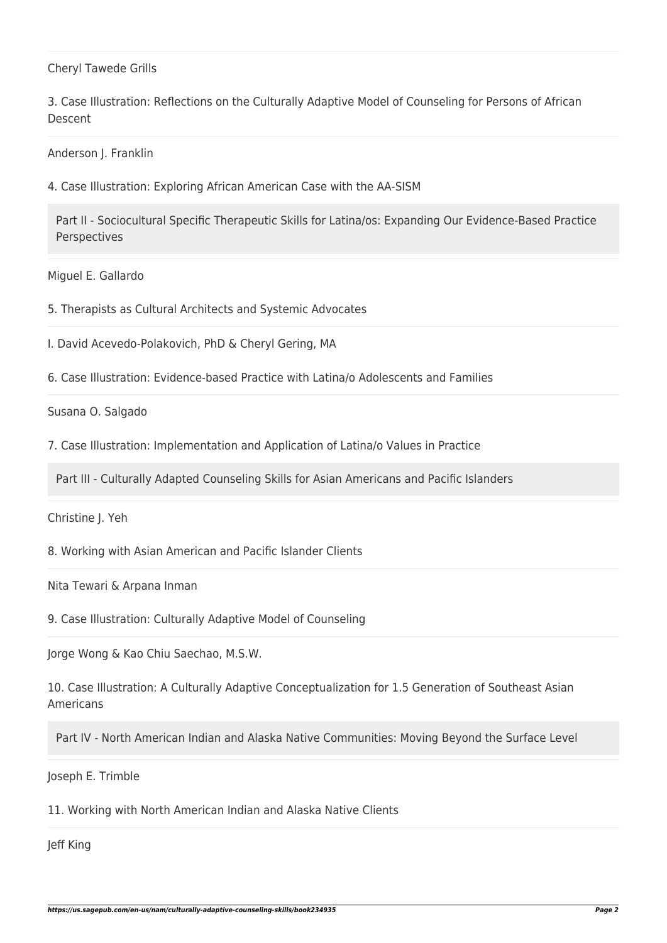#### Cheryl Tawede Grills

3. Case Illustration: Reflections on the Culturally Adaptive Model of Counseling for Persons of African Descent

Anderson J. Franklin

4. Case Illustration: Exploring African American Case with the AA-SISM

Part II - Sociocultural Specific Therapeutic Skills for Latina/os: Expanding Our Evidence-Based Practice Perspectives

Miguel E. Gallardo

5. Therapists as Cultural Architects and Systemic Advocates

I. David Acevedo-Polakovich, PhD & Cheryl Gering, MA

6. Case Illustration: Evidence-based Practice with Latina/o Adolescents and Families

Susana O. Salgado

7. Case Illustration: Implementation and Application of Latina/o Values in Practice

Part III - Culturally Adapted Counseling Skills for Asian Americans and Pacific Islanders

Christine J. Yeh

8. Working with Asian American and Pacific Islander Clients

Nita Tewari & Arpana Inman

9. Case Illustration: Culturally Adaptive Model of Counseling

Jorge Wong & Kao Chiu Saechao, M.S.W.

10. Case Illustration: A Culturally Adaptive Conceptualization for 1.5 Generation of Southeast Asian Americans

Part IV - North American Indian and Alaska Native Communities: Moving Beyond the Surface Level

Joseph E. Trimble

11. Working with North American Indian and Alaska Native Clients

Jeff King